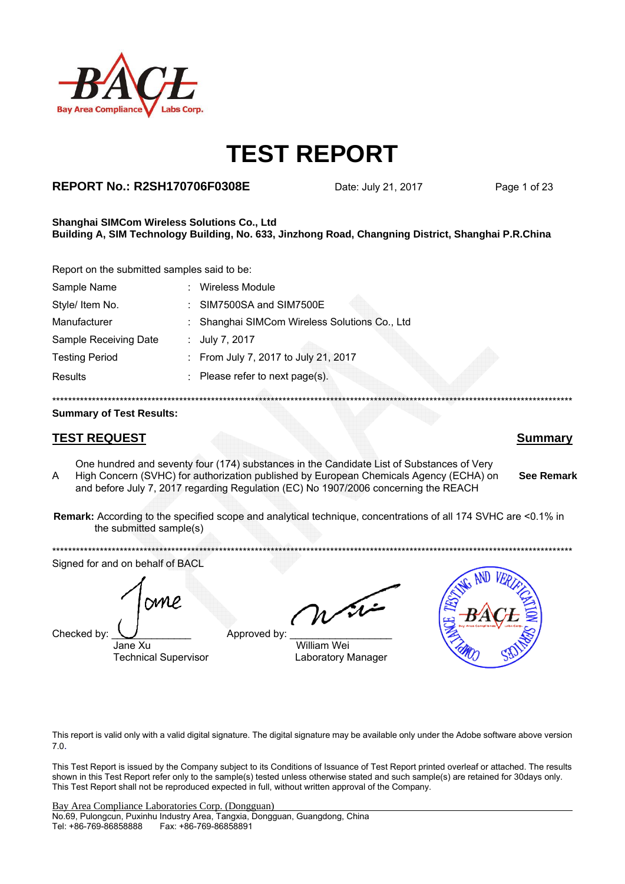

### **REPORT No.: R2SH170706F0308E** Date: July 21, 2017 Page 1 of 23

**See Remark**

#### **Shanghai SIMCom Wireless Solutions Co., Ltd Building A, SIM Technology Building, No. 633, Jinzhong Road, Changning District, Shanghai P.R.China**

Report on the submitted samples said to be:

| Sample Name           | Wireless Module                               |
|-----------------------|-----------------------------------------------|
| Style/ Item No.       | : SIM7500SA and SIM7500E                      |
| Manufacturer          | : Shanghai SIMCom Wireless Solutions Co., Ltd |
| Sample Receiving Date | : July 7, 2017                                |
| <b>Testing Period</b> | : From July 7, 2017 to July 21, 2017          |
| <b>Results</b>        | : Please refer to next page(s).               |
|                       |                                               |

### **Summary of Test Results:**

### **TEST REQUEST Summary**

A One hundred and seventy four (174) substances in the Candidate List of Substances of Very High Concern (SVHC) for authorization published by European Chemicals Agency (ECHA) on and before July 7, 2017 regarding Regulation (EC) No 1907/2006 concerning the REACH

**Remark:** According to the specified scope and analytical technique, concentrations of all 174 SVHC are <0.1% in the submitted sample(s)

\*\*\*\*\*\*\*\*\*\*\*\*\*\*\*\*\*\*\*\*\*\*\*\*\*\*\*\*\*\*\*\*\*\*\*\*\*\*\*\*\*\*\*\*\*\*\*\*\*\*\*\*\*\*\*\*\*\*\*\*\*\*\*\*\*\*\*\*\*\*\*\*\*\*\*\*\*\*\*\*\*\*\*\*\*\*\*\*\*\*\*\*\*\*\*\*\*\*\*\*\*\*\*\*\*\*\*\*\*\*\*\*\*\*\*\*\*\*\*\*\*\*\*\*\*\*\*\*\*\*\* Signed for and on behalf of BACL

Checked by:  $\bigcup$  Approved by

Jane Xu William Wei

Technical Supervisor **Laboratory Manager** 



This report is valid only with a valid digital signature. The digital signature may be available only under the Adobe software above version 7.0.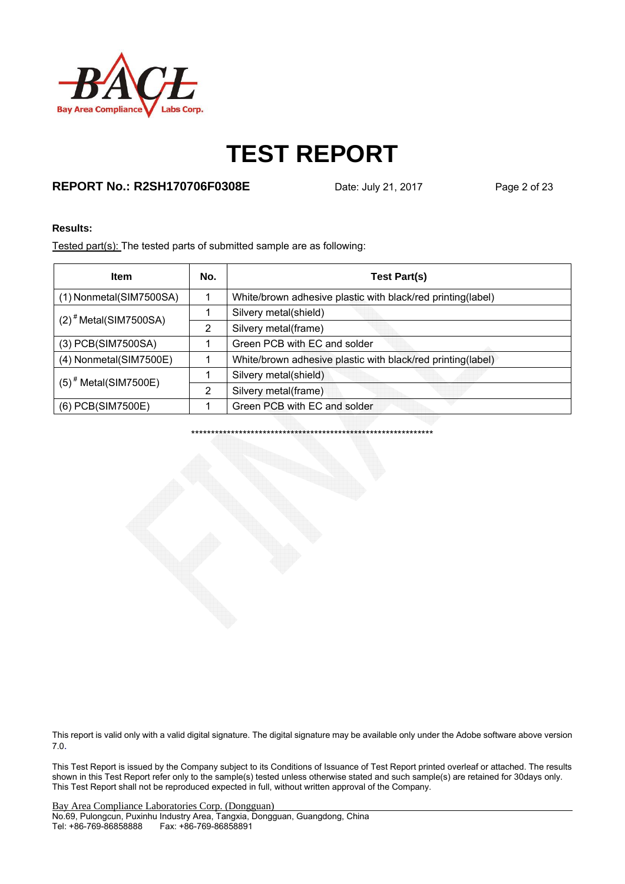

### **REPORT No.: R2SH170706F0308E** Date: July 21, 2017 Page 2 of 23

### **Results:**

Tested part(s): The tested parts of submitted sample are as following:

| <b>Item</b>                         | No. | <b>Test Part(s)</b>                                         |
|-------------------------------------|-----|-------------------------------------------------------------|
| (1) Nonmetal (SIM7500SA)            |     | White/brown adhesive plastic with black/red printing(label) |
| $(2)$ <sup>#</sup> Metal(SIM7500SA) |     | Silvery metal(shield)                                       |
|                                     | 2   | Silvery metal(frame)                                        |
| (3) PCB(SIM7500SA)                  |     | Green PCB with EC and solder                                |
| (4) Nonmetal(SIM7500E)              |     | White/brown adhesive plastic with black/red printing(label) |
| $(5)^*$ Metal(SIM7500E)             |     | Silvery metal(shield)                                       |
|                                     | 2   | Silvery metal(frame)                                        |
| (6) PCB(SIM7500E)                   |     | Green PCB with EC and solder                                |

\*\*\*\*\*\*\*\*\*\*\*\*\*\*\*\*\*\*\*\*\*\*\*\*\*\*\*\*\*\*\*\*\*\*\*\*\*\*\*\*\*\*\*\*\*\*\*\*\*\*\*\*\*\*\*\*\*\*\*\*\*

This report is valid only with a valid digital signature. The digital signature may be available only under the Adobe software above version 7.0.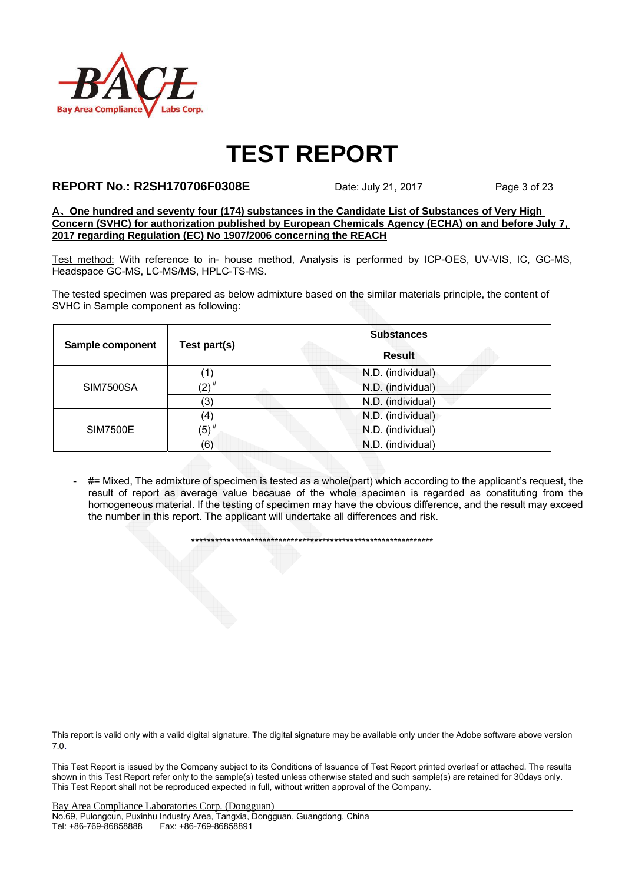

### **REPORT No.: R2SH170706F0308E** Date: July 21, 2017 Page 3 of 23

**A**、**One hundred and seventy four (174) substances in the Candidate List of Substances of Very High Concern (SVHC) for authorization published by European Chemicals Agency (ECHA) on and before July 7, 2017 regarding Regulation (EC) No 1907/2006 concerning the REACH**

Test method: With reference to in- house method, Analysis is performed by ICP-OES, UV-VIS, IC, GC-MS, Headspace GC-MS, LC-MS/MS, HPLC-TS-MS.

The tested specimen was prepared as below admixture based on the similar materials principle, the content of SVHC in Sample component as following:

|                  |                       | <b>Substances</b> |
|------------------|-----------------------|-------------------|
| Sample component | Test part(s)          | <b>Result</b>     |
|                  |                       | N.D. (individual) |
| <b>SIM7500SA</b> | $(2)^{\frac{\mu}{2}}$ | N.D. (individual) |
|                  | (3)                   | N.D. (individual) |
|                  | (4)                   | N.D. (individual) |
| <b>SIM7500E</b>  | $(5)^{\frac{\pi}{2}}$ | N.D. (individual) |
|                  | (6)                   | N.D. (individual) |

#= Mixed, The admixture of specimen is tested as a whole(part) which according to the applicant's request, the result of report as average value because of the whole specimen is regarded as constituting from the homogeneous material. If the testing of specimen may have the obvious difference, and the result may exceed the number in this report. The applicant will undertake all differences and risk.

\*\*\*\*\*\*\*\*\*\*\*\*\*\*\*\*\*\*\*\*\*\*\*\*\*\*\*\*\*\*\*\*\*\*\*\*\*\*\*\*\*\*\*\*\*\*\*\*\*\*\*\*\*\*\*\*\*\*\*\*\*

This report is valid only with a valid digital signature. The digital signature may be available only under the Adobe software above version 7.0.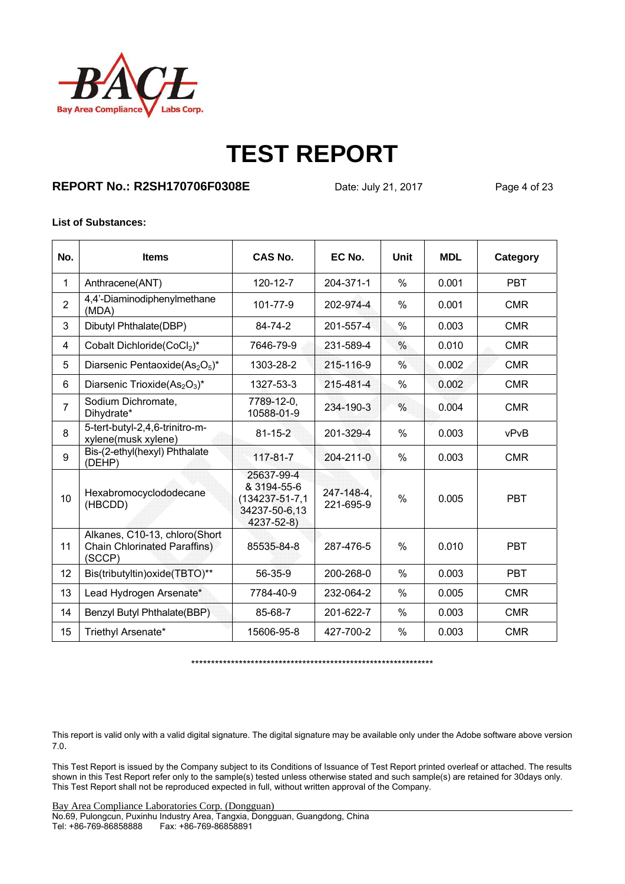

### **REPORT No.: R2SH170706F0308E** Date: July 21, 2017 Page 4 of 23

#### **List of Substances:**

| No.            | <b>Items</b>                                                                   | CAS No.                                                                    | EC No.                  | Unit          | <b>MDL</b> | Category   |
|----------------|--------------------------------------------------------------------------------|----------------------------------------------------------------------------|-------------------------|---------------|------------|------------|
| 1              | Anthracene(ANT)                                                                | 120-12-7                                                                   | 204-371-1               | $\frac{0}{0}$ | 0.001      | <b>PBT</b> |
| $\overline{2}$ | 4,4'-Diaminodiphenylmethane<br>(MDA)                                           | 101-77-9                                                                   | 202-974-4               | %             | 0.001      | <b>CMR</b> |
| 3              | Dibutyl Phthalate(DBP)                                                         | 84-74-2                                                                    | 201-557-4               | $\frac{0}{0}$ | 0.003      | <b>CMR</b> |
| 4              | Cobalt Dichloride(CoCl2)*                                                      | 7646-79-9                                                                  | 231-589-4               | $\%$          | 0.010      | <b>CMR</b> |
| 5              | Diarsenic Pentaoxide $(As2O5)^*$                                               | 1303-28-2                                                                  | 215-116-9               | $\frac{0}{0}$ | 0.002      | <b>CMR</b> |
| 6              | Diarsenic Trioxide(As <sub>2</sub> O <sub>3</sub> )*                           | 1327-53-3                                                                  | 215-481-4               | $\%$          | 0.002      | <b>CMR</b> |
| $\overline{7}$ | Sodium Dichromate,<br>Dihydrate*                                               | 7789-12-0,<br>10588-01-9                                                   | 234-190-3               | $\frac{0}{0}$ | 0.004      | <b>CMR</b> |
| 8              | 5-tert-butyl-2,4,6-trinitro-m-<br>xylene(musk xylene)                          | $81 - 15 - 2$                                                              | 201-329-4               | $\%$          | 0.003      | vPvB       |
| 9              | Bis-(2-ethyl(hexyl) Phthalate<br>(DEHP)                                        | 117-81-7                                                                   | $204 - 211 - 0$         | $\%$          | 0.003      | <b>CMR</b> |
| 10             | Hexabromocyclododecane<br>(HBCDD)                                              | 25637-99-4<br>& 3194-55-6<br>(134237-51-7,1<br>34237-50-6,13<br>4237-52-8) | 247-148-4,<br>221-695-9 | $\frac{0}{0}$ | 0.005      | <b>PBT</b> |
| 11             | Alkanes, C10-13, chloro(Short<br><b>Chain Chlorinated Paraffins)</b><br>(SCCP) | 85535-84-8                                                                 | 287-476-5               | $\%$          | 0.010      | <b>PBT</b> |
| 12             | Bis(tributyltin) oxide(TBTO)**                                                 | 56-35-9                                                                    | 200-268-0               | $\frac{0}{0}$ | 0.003      | <b>PBT</b> |
| 13             | Lead Hydrogen Arsenate*                                                        | 7784-40-9                                                                  | 232-064-2               | %             | 0.005      | <b>CMR</b> |
| 14             | Benzyl Butyl Phthalate(BBP)                                                    | 85-68-7                                                                    | 201-622-7               | %             | 0.003      | <b>CMR</b> |
| 15             | Triethyl Arsenate*                                                             | 15606-95-8                                                                 | 427-700-2               | $\%$          | 0.003      | <b>CMR</b> |

\*\*\*\*\*\*\*\*\*\*\*\*\*\*\*\*\*\*\*\*\*\*\*\*\*\*\*\*\*\*\*\*\*\*\*\*\*\*\*\*\*\*\*\*\*\*\*\*\*\*\*\*\*\*\*\*\*\*\*\*\*

This report is valid only with a valid digital signature. The digital signature may be available only under the Adobe software above version 7.0.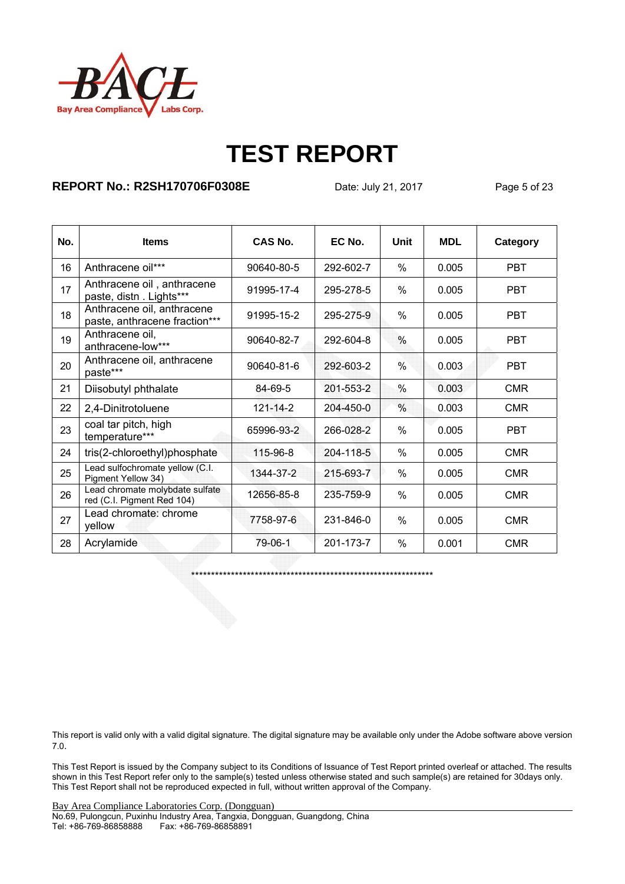

### **REPORT No.: R2SH170706F0308E** Date: July 21, 2017 Page 5 of 23

| No. | <b>Items</b>                                                  | CAS No.        | EC No.    | Unit | <b>MDL</b> | Category   |
|-----|---------------------------------------------------------------|----------------|-----------|------|------------|------------|
| 16  | Anthracene oil***                                             | 90640-80-5     | 292-602-7 | $\%$ | 0.005      | <b>PBT</b> |
| 17  | Anthracene oil, anthracene<br>paste, distn. Lights***         | 91995-17-4     | 295-278-5 | %    | 0.005      | <b>PBT</b> |
| 18  | Anthracene oil, anthracene<br>paste, anthracene fraction***   | 91995-15-2     | 295-275-9 | %    | 0.005      | <b>PBT</b> |
| 19  | Anthracene oil,<br>anthracene-low***                          | 90640-82-7     | 292-604-8 | %    | 0.005      | <b>PBT</b> |
| 20  | Anthracene oil, anthracene<br>paste***                        | 90640-81-6     | 292-603-2 | %    | 0.003      | <b>PBT</b> |
| 21  | Diisobutyl phthalate                                          | 84-69-5        | 201-553-2 | %    | 0.003      | <b>CMR</b> |
| 22  | 2,4-Dinitrotoluene                                            | $121 - 14 - 2$ | 204-450-0 | %    | 0.003      | <b>CMR</b> |
| 23  | coal tar pitch, high<br>temperature***                        | 65996-93-2     | 266-028-2 | %    | 0.005      | <b>PBT</b> |
| 24  | tris(2-chloroethyl)phosphate                                  | 115-96-8       | 204-118-5 | $\%$ | 0.005      | <b>CMR</b> |
| 25  | Lead sulfochromate yellow (C.I.<br>Pigment Yellow 34)         | 1344-37-2      | 215-693-7 | $\%$ | 0.005      | <b>CMR</b> |
| 26  | Lead chromate molybdate sulfate<br>red (C.I. Pigment Red 104) | 12656-85-8     | 235-759-9 | %    | 0.005      | <b>CMR</b> |
| 27  | Lead chromate: chrome<br>yellow                               | 7758-97-6      | 231-846-0 | $\%$ | 0.005      | <b>CMR</b> |
| 28  | Acrylamide                                                    | 79-06-1        | 201-173-7 | $\%$ | 0.001      | <b>CMR</b> |

\*\*\*\*\*\*\*\*\*\*\*\*\*\*\*\*\*\*\*\*\*\*\*\*\*\*\*\*\*\*\*\*\*\*\*\*\*\*\*\*\*\*\*\*\*\*\*\*\*\*\*\*\*\*\*\*\*\*\*\*\*

This report is valid only with a valid digital signature. The digital signature may be available only under the Adobe software above version 7.0.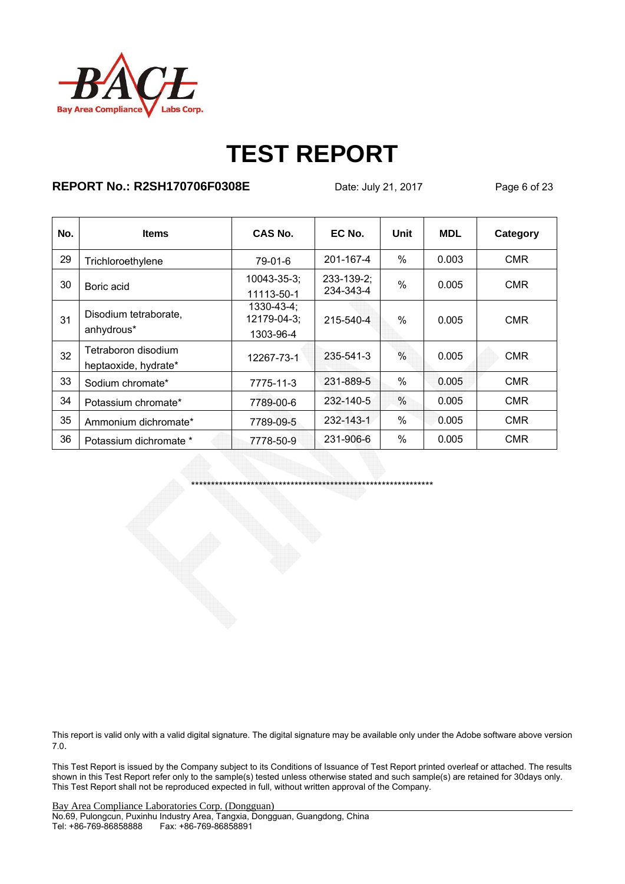

### **REPORT No.: R2SH170706F0308E** Date: July 21, 2017 Page 6 of 23

| No. | <b>Items</b>                                | CAS No.                                       | EC No.                         | Unit          | <b>MDL</b> | Category   |
|-----|---------------------------------------------|-----------------------------------------------|--------------------------------|---------------|------------|------------|
| 29  | Trichloroethylene                           | 79-01-6                                       | 201-167-4                      | $\%$          | 0.003      | <b>CMR</b> |
| 30  | Boric acid                                  | $10043 - 35 - 3$ ;<br>11113-50-1              | $233 - 139 - 2$ ;<br>234-343-4 | $\frac{0}{0}$ | 0.005      | <b>CMR</b> |
| 31  | Disodium tetraborate.<br>anhydrous*         | $1330 - 43 - 4$ ;<br>12179-04-3;<br>1303-96-4 | 215-540-4                      | $\%$          | 0.005      | <b>CMR</b> |
| 32  | Tetraboron disodium<br>heptaoxide, hydrate* | 12267-73-1                                    | 235-541-3                      | $\%$          | 0.005      | <b>CMR</b> |
| 33  | Sodium chromate*                            | 7775-11-3                                     | 231-889-5                      | $\%$          | 0.005      | <b>CMR</b> |
| 34  | Potassium chromate*                         | 7789-00-6                                     | 232-140-5                      | $\frac{0}{0}$ | 0.005      | <b>CMR</b> |
| 35  | Ammonium dichromate*                        | 7789-09-5                                     | 232-143-1                      | $\%$          | 0.005      | <b>CMR</b> |
| 36  | Potassium dichromate *                      | 7778-50-9                                     | 231-906-6                      | $\%$          | 0.005      | <b>CMR</b> |

\*\*\*\*\*\*\*\*\*\*\*\*\*\*\*\*\*\*\*\*\*\*\*\*\*\*\*\*\*\*\*\*\*\*\*\*\*\*\*\*\*\*\*\*\*\*\*\*\*\*\*\*\*\*\*\*\*\*\*\*\*

This report is valid only with a valid digital signature. The digital signature may be available only under the Adobe software above version 7.0.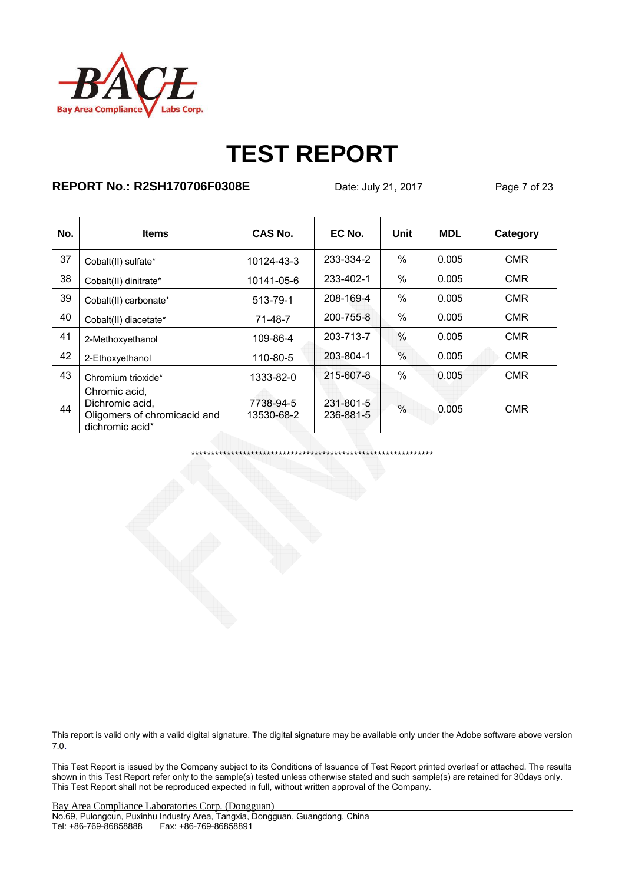

## **REPORT No.: R2SH170706F0308E** Date: July 21, 2017 Page 7 of 23

| No. | <b>Items</b>                                                                        | CAS No.                 | EC No.                 | Unit          | <b>MDL</b> | Category   |
|-----|-------------------------------------------------------------------------------------|-------------------------|------------------------|---------------|------------|------------|
| 37  | Cobalt(II) sulfate*                                                                 | 10124-43-3              | 233-334-2              | $\%$          | 0.005      | <b>CMR</b> |
| 38  | Cobalt(II) dinitrate*                                                               | 10141-05-6              | 233-402-1              | $\%$          | 0.005      | <b>CMR</b> |
| 39  | Cobalt(II) carbonate*                                                               | 513-79-1                | 208-169-4              | $\%$          | 0.005      | <b>CMR</b> |
| 40  | Cobalt(II) diacetate*                                                               | 71-48-7                 | 200-755-8              | $\%$          | 0.005      | <b>CMR</b> |
| 41  | 2-Methoxyethanol                                                                    | 109-86-4                | 203-713-7              | $\%$          | 0.005      | <b>CMR</b> |
| 42  | 2-Ethoxyethanol                                                                     | 110-80-5                | 203-804-1              | $\%$          | 0.005      | <b>CMR</b> |
| 43  | Chromium trioxide*                                                                  | 1333-82-0               | 215-607-8              | $\frac{0}{0}$ | 0.005      | <b>CMR</b> |
| 44  | Chromic acid,<br>Dichromic acid,<br>Oligomers of chromicacid and<br>dichromic acid* | 7738-94-5<br>13530-68-2 | 231-801-5<br>236-881-5 | $\frac{0}{0}$ | 0.005      | <b>CMR</b> |

\*\*\*\*\*\*\*\*\*\*\*\*\*\*\*\*\*\*\*\*\*\*\*\*\*\*\*\*\*\*\*\*\*\*\*\*\*\*\*\*\*\*\*\*\*\*\*\*\*\*\*\*\*\*\*\*\*\*\*\*\*

This report is valid only with a valid digital signature. The digital signature may be available only under the Adobe software above version 7.0.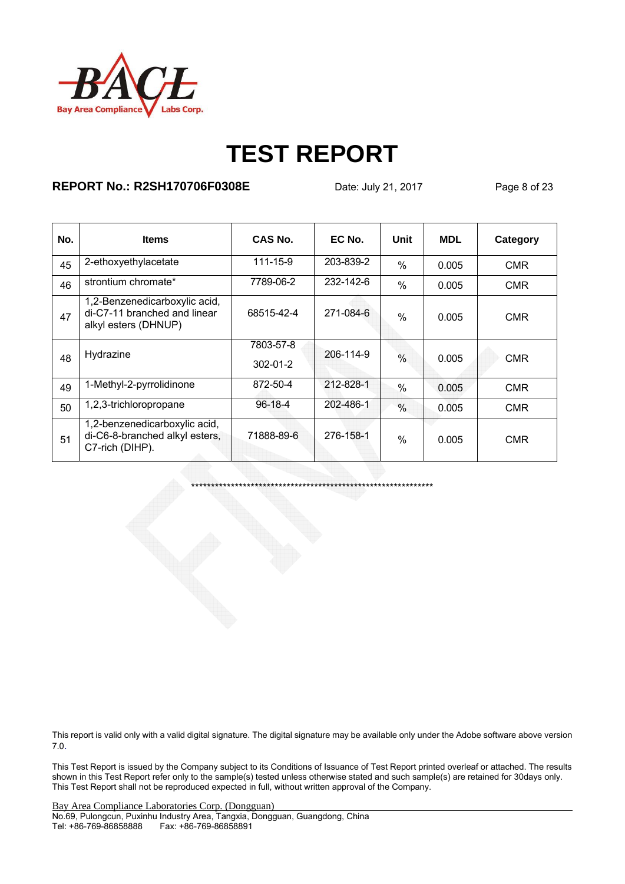

### **REPORT No.: R2SH170706F0308E** Date: July 21, 2017 Page 8 of 23

| No. | <b>Items</b>                                                                          | CAS No.                     | EC No.          | Unit          | <b>MDL</b> | Category   |
|-----|---------------------------------------------------------------------------------------|-----------------------------|-----------------|---------------|------------|------------|
| 45  | 2-ethoxyethylacetate                                                                  | $111 - 15 - 9$              | 203-839-2       | $\frac{0}{0}$ | 0.005      | <b>CMR</b> |
| 46  | strontium chromate*                                                                   | 7789-06-2                   | $232 - 142 - 6$ | $\%$          | 0.005      | <b>CMR</b> |
| 47  | 1,2-Benzenedicarboxylic acid,<br>di-C7-11 branched and linear<br>alkyl esters (DHNUP) | 68515-42-4                  | 271-084-6       | $\frac{0}{0}$ | 0.005      | <b>CMR</b> |
| 48  | Hydrazine                                                                             | 7803-57-8<br>$302 - 01 - 2$ | 206-114-9       | $\frac{0}{0}$ | 0.005      | <b>CMR</b> |
| 49  | 1-Methyl-2-pyrrolidinone                                                              | 872-50-4                    | 212-828-1       | $\frac{0}{0}$ | 0.005      | <b>CMR</b> |
| 50  | 1,2,3-trichloropropane                                                                | $96-18-4$                   | 202-486-1       | $\%$          | 0.005      | <b>CMR</b> |
| 51  | 1,2-benzenedicarboxylic acid,<br>di-C6-8-branched alkyl esters,<br>C7-rich (DIHP).    | 71888-89-6                  | 276-158-1       | $\frac{0}{0}$ | 0.005      | <b>CMR</b> |

\*\*\*\*\*\*\*\*\*\*\*\*\*\*\*\*\*\*\*\*\*\*\*\*\*\*\*\*\*\*\*\*\*\*\*\*\*\*\*\*\*\*\*\*\*\*\*\*\*\*\*\*\*\*\*\*\*\*\*\*\*

This report is valid only with a valid digital signature. The digital signature may be available only under the Adobe software above version 7.0.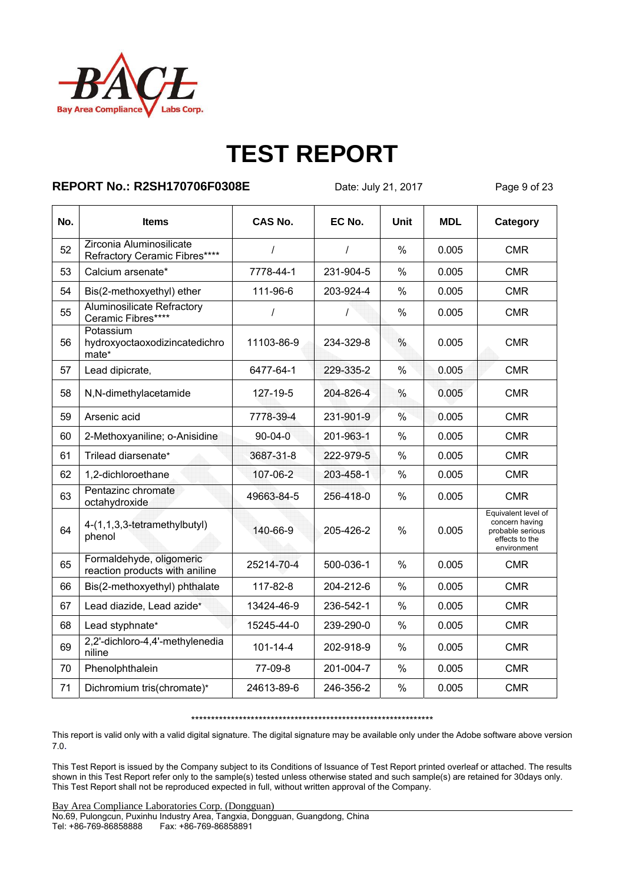

### **REPORT No.: R2SH170706F0308E** Date: July 21, 2017 Page 9 of 23

| No. | <b>Items</b>                                               | <b>CAS No.</b> | EC No.    | Unit          | <b>MDL</b> | Category                                                                                   |
|-----|------------------------------------------------------------|----------------|-----------|---------------|------------|--------------------------------------------------------------------------------------------|
| 52  | Zirconia Aluminosilicate<br>Refractory Ceramic Fibres****  | $\prime$       | $\prime$  | $\frac{0}{0}$ | 0.005      | <b>CMR</b>                                                                                 |
| 53  | Calcium arsenate*                                          | 7778-44-1      | 231-904-5 | $\%$          | 0.005      | <b>CMR</b>                                                                                 |
| 54  | Bis(2-methoxyethyl) ether                                  | 111-96-6       | 203-924-4 | %             | 0.005      | <b>CMR</b>                                                                                 |
| 55  | <b>Aluminosilicate Refractory</b><br>Ceramic Fibres****    | $\prime$       | Ι         | %             | 0.005      | <b>CMR</b>                                                                                 |
| 56  | Potassium<br>hydroxyoctaoxodizincatedichro<br>mate*        | 11103-86-9     | 234-329-8 | $\frac{0}{0}$ | 0.005      | <b>CMR</b>                                                                                 |
| 57  | Lead dipicrate,                                            | 6477-64-1      | 229-335-2 | $\frac{0}{0}$ | 0.005      | <b>CMR</b>                                                                                 |
| 58  | N,N-dimethylacetamide                                      | 127-19-5       | 204-826-4 | $\%$          | 0.005      | <b>CMR</b>                                                                                 |
| 59  | Arsenic acid                                               | 7778-39-4      | 231-901-9 | $\frac{0}{0}$ | 0.005      | <b>CMR</b>                                                                                 |
| 60  | 2-Methoxyaniline; o-Anisidine                              | $90 - 04 - 0$  | 201-963-1 | $\%$          | 0.005      | <b>CMR</b>                                                                                 |
| 61  | Trilead diarsenate*                                        | 3687-31-8      | 222-979-5 | $\%$          | 0.005      | <b>CMR</b>                                                                                 |
| 62  | 1,2-dichloroethane                                         | 107-06-2       | 203-458-1 | $\%$          | 0.005      | <b>CMR</b>                                                                                 |
| 63  | Pentazinc chromate<br>octahydroxide                        | 49663-84-5     | 256-418-0 | $\%$          | 0.005      | <b>CMR</b>                                                                                 |
| 64  | 4-(1,1,3,3-tetramethylbutyl)<br>phenol                     | 140-66-9       | 205-426-2 | $\%$          | 0.005      | Equivalent level of<br>concern having<br>probable serious<br>effects to the<br>environment |
| 65  | Formaldehyde, oligomeric<br>reaction products with aniline | 25214-70-4     | 500-036-1 | $\%$          | 0.005      | <b>CMR</b>                                                                                 |
| 66  | Bis(2-methoxyethyl) phthalate                              | 117-82-8       | 204-212-6 | %             | 0.005      | <b>CMR</b>                                                                                 |
| 67  | Lead diazide, Lead azide*                                  | 13424-46-9     | 236-542-1 | %             | 0.005      | <b>CMR</b>                                                                                 |
| 68  | Lead styphnate*                                            | 15245-44-0     | 239-290-0 | $\%$          | 0.005      | <b>CMR</b>                                                                                 |
| 69  | 2,2'-dichloro-4,4'-methylenedia<br>niline                  | $101 - 14 - 4$ | 202-918-9 | $\%$          | 0.005      | <b>CMR</b>                                                                                 |
| 70  | Phenolphthalein                                            | 77-09-8        | 201-004-7 | $\%$          | 0.005      | <b>CMR</b>                                                                                 |
| 71  | Dichromium tris(chromate)*                                 | 24613-89-6     | 246-356-2 | %             | 0.005      | <b>CMR</b>                                                                                 |

\*\*\*\*\*\*\*\*\*\*\*\*\*\*\*\*\*\*\*\*\*\*\*\*\*\*\*\*\*\*\*\*\*\*\*\*\*\*\*\*\*\*\*\*\*\*\*\*\*\*\*\*\*\*\*\*\*\*\*\*\*

This report is valid only with a valid digital signature. The digital signature may be available only under the Adobe software above version 7.0.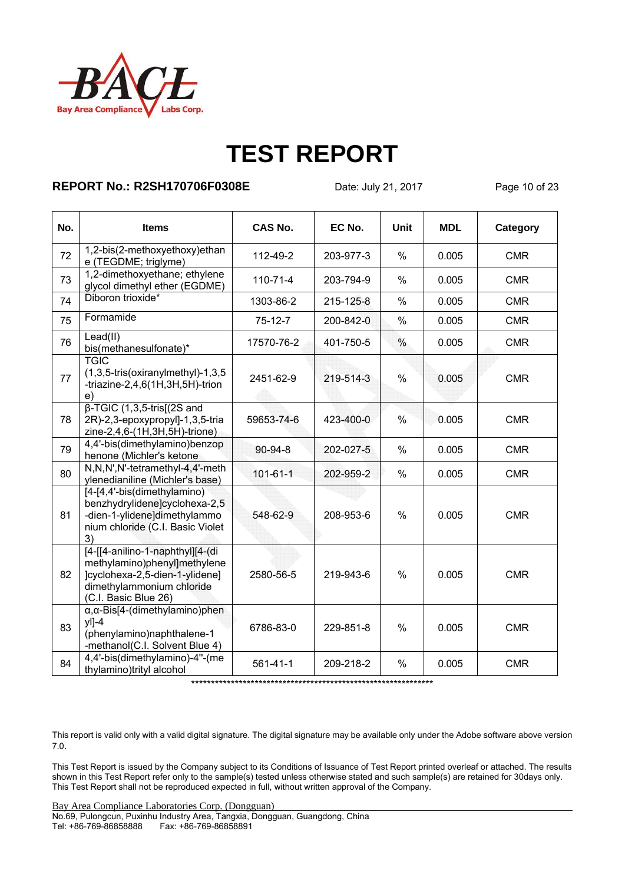

### **REPORT No.: R2SH170706F0308E** Date: July 21, 2017 Page 10 of 23

| No. | <b>Items</b>                                                                                                                                            | CAS No.        | EC No.    | <b>Unit</b>   | <b>MDL</b> | Category   |
|-----|---------------------------------------------------------------------------------------------------------------------------------------------------------|----------------|-----------|---------------|------------|------------|
| 72  | 1,2-bis(2-methoxyethoxy)ethan<br>e (TEGDME; triglyme)                                                                                                   | 112-49-2       | 203-977-3 | $\%$          | 0.005      | <b>CMR</b> |
| 73  | 1,2-dimethoxyethane; ethylene<br>glycol dimethyl ether (EGDME)                                                                                          | $110 - 71 - 4$ | 203-794-9 | $\%$          | 0.005      | <b>CMR</b> |
| 74  | Diboron trioxide*                                                                                                                                       | 1303-86-2      | 215-125-8 | $\frac{0}{0}$ | 0.005      | <b>CMR</b> |
| 75  | Formamide                                                                                                                                               | $75-12-7$      | 200-842-0 | $\frac{0}{0}$ | 0.005      | <b>CMR</b> |
| 76  | Lead(II)<br>bis(methanesulfonate)*                                                                                                                      | 17570-76-2     | 401-750-5 | $\frac{0}{0}$ | 0.005      | <b>CMR</b> |
| 77  | <b>TGIC</b><br>$(1,3,5-tris(oxiranylmethyl)-1,3,5)$<br>-triazine-2,4,6(1H,3H,5H)-trion<br>e)                                                            | 2451-62-9      | 219-514-3 | $\frac{0}{0}$ | 0.005      | <b>CMR</b> |
| 78  | $\beta$ -TGIC (1,3,5-tris[(2S and<br>2R)-2,3-epoxypropyl]-1,3,5-tria<br>zine-2,4,6-(1H,3H,5H)-trione)                                                   | 59653-74-6     | 423-400-0 | $\frac{0}{0}$ | 0.005      | <b>CMR</b> |
| 79  | 4,4'-bis(dimethylamino)benzop<br>henone (Michler's ketone                                                                                               | 90-94-8        | 202-027-5 | $\frac{0}{0}$ | 0.005      | <b>CMR</b> |
| 80  | N,N,N',N'-tetramethyl-4,4'-meth<br>ylenedianiline (Michler's base)                                                                                      | $101 - 61 - 1$ | 202-959-2 | $\%$          | 0.005      | <b>CMR</b> |
| 81  | [4-[4,4'-bis(dimethylamino)<br>benzhydrylidene]cyclohexa-2,5<br>-dien-1-ylidene]dimethylammo<br>nium chloride (C.I. Basic Violet<br>3)                  | 548-62-9       | 208-953-6 | $\frac{0}{0}$ | 0.005      | <b>CMR</b> |
| 82  | [4-[[4-anilino-1-naphthyl][4-(di<br>methylamino)phenyl]methylene<br>]cyclohexa-2,5-dien-1-ylidene]<br>dimethylammonium chloride<br>(C.I. Basic Blue 26) | 2580-56-5      | 219-943-6 | $\%$          | 0.005      | <b>CMR</b> |
| 83  | $\alpha$ , $\alpha$ -Bis[4-(dimethylamino)phen<br>$y$  ]-4<br>(phenylamino)naphthalene-1<br>-methanol(C.I. Solvent Blue 4)                              | 6786-83-0      | 229-851-8 | $\frac{0}{0}$ | 0.005      | <b>CMR</b> |
| 84  | 4,4'-bis(dimethylamino)-4"-(me<br>thylamino)trityl alcohol                                                                                              | $561 - 41 - 1$ | 209-218-2 | $\%$          | 0.005      | <b>CMR</b> |

\*\*\*\*\*\*\*\*\*\*\*\*\*\*\*\*\*\*\*\*\*\*\*\*\*\*\*\*\*\*\*\*\*\*\*\*\*\*\*\*\*\*\*\*\*\*\*\*\*\*\*\*\*\*\*\*\*\*\*\*\*

This report is valid only with a valid digital signature. The digital signature may be available only under the Adobe software above version 7.0.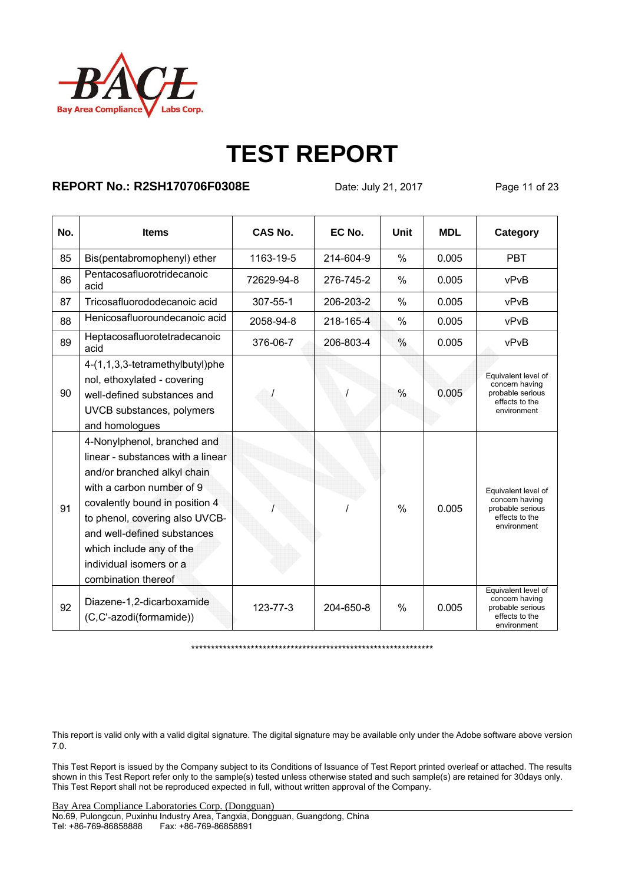

## **REPORT No.: R2SH170706F0308E** Date: July 21, 2017 Page 11 of 23

| No. | <b>Items</b>                                                                                                                                                                                                                                                                                                  | CAS No.    | EC No.    | Unit          | <b>MDL</b> | Category                                                                                   |
|-----|---------------------------------------------------------------------------------------------------------------------------------------------------------------------------------------------------------------------------------------------------------------------------------------------------------------|------------|-----------|---------------|------------|--------------------------------------------------------------------------------------------|
| 85  | Bis(pentabromophenyl) ether                                                                                                                                                                                                                                                                                   | 1163-19-5  | 214-604-9 | $\frac{0}{0}$ | 0.005      | <b>PBT</b>                                                                                 |
| 86  | Pentacosafluorotridecanoic<br>acid                                                                                                                                                                                                                                                                            | 72629-94-8 | 276-745-2 | $\%$          | 0.005      | vPvB                                                                                       |
| 87  | Tricosafluorododecanoic acid                                                                                                                                                                                                                                                                                  | 307-55-1   | 206-203-2 | $\%$          | 0.005      | vPvB                                                                                       |
| 88  | Henicosafluoroundecanoic acid                                                                                                                                                                                                                                                                                 | 2058-94-8  | 218-165-4 | %             | 0.005      | vPvB                                                                                       |
| 89  | Heptacosafluorotetradecanoic<br>acid                                                                                                                                                                                                                                                                          | 376-06-7   | 206-803-4 | %             | 0.005      | vPvB                                                                                       |
| 90  | 4-(1,1,3,3-tetramethylbutyl)phe<br>nol, ethoxylated - covering<br>well-defined substances and<br>UVCB substances, polymers<br>and homologues                                                                                                                                                                  |            |           | $\%$          | 0.005      | Equivalent level of<br>concern having<br>probable serious<br>effects to the<br>environment |
| 91  | 4-Nonylphenol, branched and<br>linear - substances with a linear<br>and/or branched alkyl chain<br>with a carbon number of 9<br>covalently bound in position 4<br>to phenol, covering also UVCB-<br>and well-defined substances<br>which include any of the<br>individual isomers or a<br>combination thereof |            |           | $\%$          | 0.005      | Equivalent level of<br>concern having<br>probable serious<br>effects to the<br>environment |
| 92  | Diazene-1,2-dicarboxamide<br>(C,C'-azodi(formamide))                                                                                                                                                                                                                                                          | 123-77-3   | 204-650-8 | $\%$          | 0.005      | Equivalent level of<br>concern having<br>probable serious<br>effects to the<br>environment |

\*\*\*\*\*\*\*\*\*\*\*\*\*\*\*\*\*\*\*\*\*\*\*\*\*\*\*\*\*\*\*\*\*\*\*\*\*\*\*\*\*\*\*\*\*\*\*\*\*\*\*\*\*\*\*\*\*\*\*\*\*

This report is valid only with a valid digital signature. The digital signature may be available only under the Adobe software above version 7.0.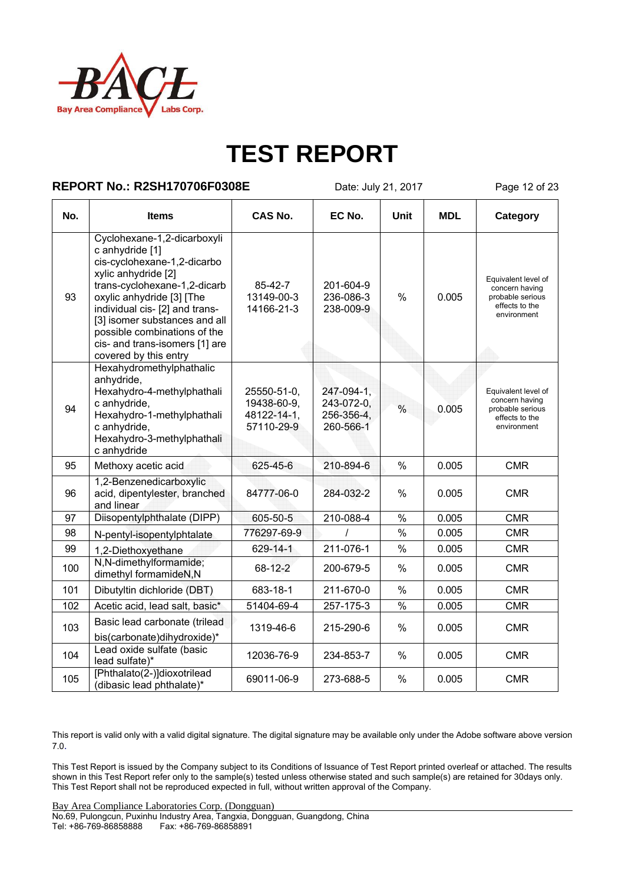

### **REPORT No.: R2SH170706F0308E** Date: July 21, 2017 Page 12 of 23

| No. | Items                                                                                                                                                                                                                                                                                                                           | <b>CAS No.</b>                                          | EC No.                                              | Unit          | <b>MDL</b> | Category                                                                                   |
|-----|---------------------------------------------------------------------------------------------------------------------------------------------------------------------------------------------------------------------------------------------------------------------------------------------------------------------------------|---------------------------------------------------------|-----------------------------------------------------|---------------|------------|--------------------------------------------------------------------------------------------|
| 93  | Cyclohexane-1,2-dicarboxyli<br>c anhydride [1]<br>cis-cyclohexane-1,2-dicarbo<br>xylic anhydride [2]<br>trans-cyclohexane-1,2-dicarb<br>oxylic anhydride [3] [The<br>individual cis- [2] and trans-<br>[3] isomer substances and all<br>possible combinations of the<br>cis- and trans-isomers [1] are<br>covered by this entry | 85-42-7<br>13149-00-3<br>14166-21-3                     | 201-604-9<br>236-086-3<br>238-009-9                 | $\%$          | 0.005      | Equivalent level of<br>concern having<br>probable serious<br>effects to the<br>environment |
| 94  | Hexahydromethylphathalic<br>anhydride,<br>Hexahydro-4-methylphathali<br>c anhydride,<br>Hexahydro-1-methylphathali<br>c anhydride,<br>Hexahydro-3-methylphathali<br>c anhydride                                                                                                                                                 | 25550-51-0,<br>19438-60-9,<br>48122-14-1.<br>57110-29-9 | 247-094-1.<br>243-072-0,<br>256-356-4.<br>260-566-1 | $\frac{0}{0}$ | 0.005      | Equivalent level of<br>concern having<br>probable serious<br>effects to the<br>environment |
| 95  | Methoxy acetic acid                                                                                                                                                                                                                                                                                                             | 625-45-6                                                | 210-894-6                                           | $\%$          | 0.005      | <b>CMR</b>                                                                                 |
| 96  | 1,2-Benzenedicarboxylic<br>acid, dipentylester, branched<br>and linear                                                                                                                                                                                                                                                          | 84777-06-0                                              | 284-032-2                                           | $\frac{0}{0}$ | 0.005      | <b>CMR</b>                                                                                 |
| 97  | Diisopentylphthalate (DIPP)                                                                                                                                                                                                                                                                                                     | 605-50-5                                                | 210-088-4                                           | $\%$          | 0.005      | <b>CMR</b>                                                                                 |
| 98  | N-pentyl-isopentylphtalate                                                                                                                                                                                                                                                                                                      | 776297-69-9                                             |                                                     | $\frac{0}{0}$ | 0.005      | <b>CMR</b>                                                                                 |
| 99  | 1,2-Diethoxyethane                                                                                                                                                                                                                                                                                                              | 629-14-1                                                | 211-076-1                                           | $\%$          | 0.005      | <b>CMR</b>                                                                                 |
| 100 | N,N-dimethylformamide;<br>dimethyl formamideN,N                                                                                                                                                                                                                                                                                 | 68-12-2                                                 | 200-679-5                                           | $\%$          | 0.005      | <b>CMR</b>                                                                                 |
| 101 | Dibutyltin dichloride (DBT)                                                                                                                                                                                                                                                                                                     | 683-18-1                                                | 211-670-0                                           | $\%$          | 0.005      | <b>CMR</b>                                                                                 |
| 102 | Acetic acid, lead salt, basic*                                                                                                                                                                                                                                                                                                  | 51404-69-4                                              | 257-175-3                                           | $\frac{0}{6}$ | 0.005      | <b>CMR</b>                                                                                 |
| 103 | Basic lead carbonate (trilead<br>bis(carbonate)dihydroxide)*                                                                                                                                                                                                                                                                    | 1319-46-6                                               | 215-290-6                                           | $\%$          | 0.005      | <b>CMR</b>                                                                                 |
| 104 | Lead oxide sulfate (basic<br>lead sulfate)*                                                                                                                                                                                                                                                                                     | 12036-76-9                                              | 234-853-7                                           | %             | 0.005      | <b>CMR</b>                                                                                 |
| 105 | [Phthalato(2-)]dioxotrilead<br>(dibasic lead phthalate)*                                                                                                                                                                                                                                                                        | 69011-06-9                                              | 273-688-5                                           | %             | 0.005      | <b>CMR</b>                                                                                 |

This report is valid only with a valid digital signature. The digital signature may be available only under the Adobe software above version 7.0.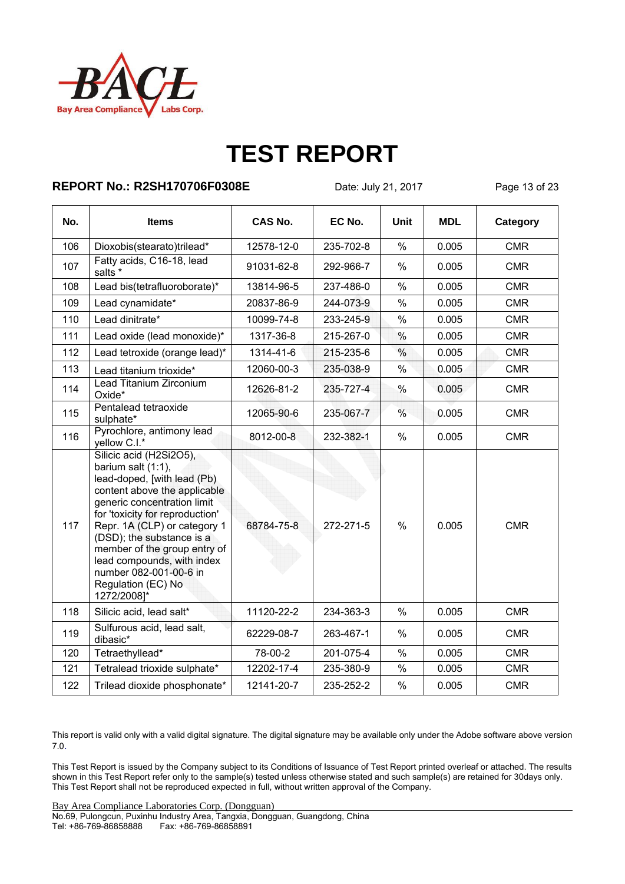

### **REPORT No.: R2SH170706F0308E** Date: July 21, 2017 Page 13 of 23

| No. | <b>Items</b>                                                                                                                                                                                                                                                                                                                                                                | <b>CAS No.</b> | EC No.    | Unit          | <b>MDL</b> | Category   |
|-----|-----------------------------------------------------------------------------------------------------------------------------------------------------------------------------------------------------------------------------------------------------------------------------------------------------------------------------------------------------------------------------|----------------|-----------|---------------|------------|------------|
| 106 | Dioxobis(stearato)trilead*                                                                                                                                                                                                                                                                                                                                                  | 12578-12-0     | 235-702-8 | $\%$          | 0.005      | <b>CMR</b> |
| 107 | Fatty acids, C16-18, lead<br>salts *                                                                                                                                                                                                                                                                                                                                        | 91031-62-8     | 292-966-7 | $\%$          | 0.005      | <b>CMR</b> |
| 108 | Lead bis(tetrafluoroborate)*                                                                                                                                                                                                                                                                                                                                                | 13814-96-5     | 237-486-0 | $\%$          | 0.005      | <b>CMR</b> |
| 109 | Lead cynamidate*                                                                                                                                                                                                                                                                                                                                                            | 20837-86-9     | 244-073-9 | $\%$          | 0.005      | <b>CMR</b> |
| 110 | Lead dinitrate*                                                                                                                                                                                                                                                                                                                                                             | 10099-74-8     | 233-245-9 | $\%$          | 0.005      | <b>CMR</b> |
| 111 | Lead oxide (lead monoxide)*                                                                                                                                                                                                                                                                                                                                                 | 1317-36-8      | 215-267-0 | $\%$          | 0.005      | <b>CMR</b> |
| 112 | Lead tetroxide (orange lead)*                                                                                                                                                                                                                                                                                                                                               | 1314-41-6      | 215-235-6 | $\frac{0}{0}$ | 0.005      | <b>CMR</b> |
| 113 | Lead titanium trioxide*                                                                                                                                                                                                                                                                                                                                                     | 12060-00-3     | 235-038-9 | $\%$          | 0.005      | <b>CMR</b> |
| 114 | Lead Titanium Zirconium<br>Oxide*                                                                                                                                                                                                                                                                                                                                           | 12626-81-2     | 235-727-4 | %             | 0.005      | <b>CMR</b> |
| 115 | Pentalead tetraoxide<br>sulphate*                                                                                                                                                                                                                                                                                                                                           | 12065-90-6     | 235-067-7 | $\%$          | 0.005      | <b>CMR</b> |
| 116 | Pyrochlore, antimony lead<br>yellow C.I.*                                                                                                                                                                                                                                                                                                                                   | 8012-00-8      | 232-382-1 | $\%$          | 0.005      | <b>CMR</b> |
| 117 | Silicic acid (H2Si2O5),<br>barium salt $(1:1)$ ,<br>lead-doped, [with lead (Pb)<br>content above the applicable<br>generic concentration limit<br>for 'toxicity for reproduction'<br>Repr. 1A (CLP) or category 1<br>(DSD); the substance is a<br>member of the group entry of<br>lead compounds, with index<br>number 082-001-00-6 in<br>Regulation (EC) No<br>1272/2008]* | 68784-75-8     | 272-271-5 | $\%$          | 0.005      | <b>CMR</b> |
| 118 | Silicic acid, lead salt*                                                                                                                                                                                                                                                                                                                                                    | 11120-22-2     | 234-363-3 | $\%$          | 0.005      | <b>CMR</b> |
| 119 | Sulfurous acid, lead salt,<br>dibasic*                                                                                                                                                                                                                                                                                                                                      | 62229-08-7     | 263-467-1 | $\%$          | 0.005      | <b>CMR</b> |
| 120 | Tetraethyllead*                                                                                                                                                                                                                                                                                                                                                             | 78-00-2        | 201-075-4 | $\%$          | 0.005      | <b>CMR</b> |
| 121 | Tetralead trioxide sulphate*                                                                                                                                                                                                                                                                                                                                                | 12202-17-4     | 235-380-9 | $\%$          | 0.005      | <b>CMR</b> |
| 122 | Trilead dioxide phosphonate*                                                                                                                                                                                                                                                                                                                                                | 12141-20-7     | 235-252-2 | $\%$          | 0.005      | <b>CMR</b> |

This report is valid only with a valid digital signature. The digital signature may be available only under the Adobe software above version 7.0.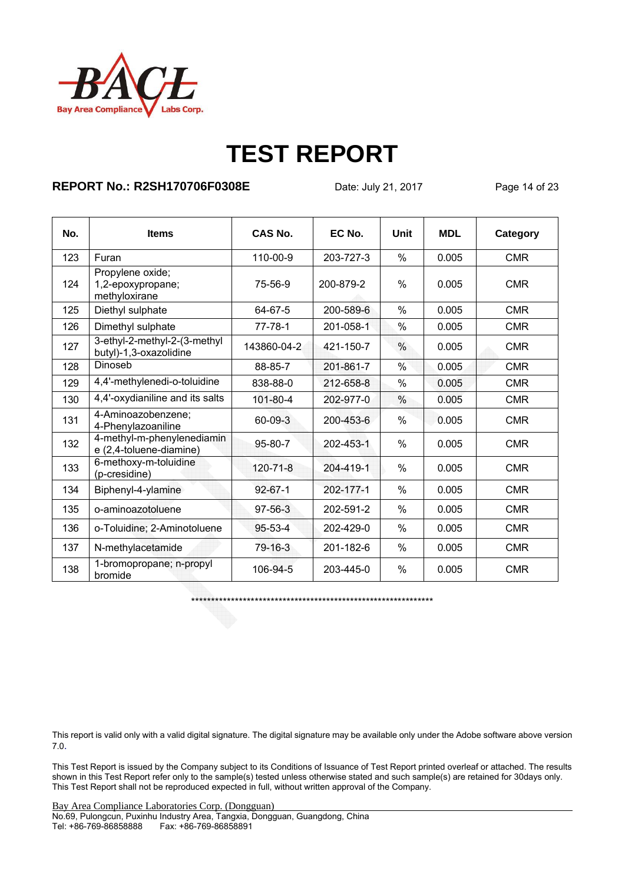

### **REPORT No.: R2SH170706F0308E** Date: July 21, 2017 Page 14 of 23

| No. | <b>Items</b>                                           | CAS No.        | EC No.    | Unit          | <b>MDL</b> | Category   |
|-----|--------------------------------------------------------|----------------|-----------|---------------|------------|------------|
| 123 | Furan                                                  | 110-00-9       | 203-727-3 | $\frac{0}{0}$ | 0.005      | <b>CMR</b> |
| 124 | Propylene oxide;<br>1,2-epoxypropane;<br>methyloxirane | 75-56-9        | 200-879-2 | $\frac{0}{0}$ | 0.005      | <b>CMR</b> |
| 125 | Diethyl sulphate                                       | 64-67-5        | 200-589-6 | $\frac{0}{0}$ | 0.005      | <b>CMR</b> |
| 126 | Dimethyl sulphate                                      | $77 - 78 - 1$  | 201-058-1 | $\%$          | 0.005      | <b>CMR</b> |
| 127 | 3-ethyl-2-methyl-2-(3-methyl<br>butyl)-1,3-oxazolidine | 143860-04-2    | 421-150-7 | $\frac{0}{0}$ | 0.005      | <b>CMR</b> |
| 128 | Dinoseb                                                | 88-85-7        | 201-861-7 | $\frac{0}{0}$ | 0.005      | <b>CMR</b> |
| 129 | 4,4'-methylenedi-o-toluidine                           | 838-88-0       | 212-658-8 | $\frac{0}{0}$ | 0.005      | <b>CMR</b> |
| 130 | 4,4'-oxydianiline and its salts                        | 101-80-4       | 202-977-0 | %             | 0.005      | <b>CMR</b> |
| 131 | 4-Aminoazobenzene;<br>4-Phenylazoaniline               | 60-09-3        | 200-453-6 | $\%$          | 0.005      | <b>CMR</b> |
| 132 | 4-methyl-m-phenylenediamin<br>e (2,4-toluene-diamine)  | 95-80-7        | 202-453-1 | $\frac{0}{0}$ | 0.005      | <b>CMR</b> |
| 133 | 6-methoxy-m-toluidine<br>(p-cresidine)                 | $120 - 71 - 8$ | 204-419-1 | $\frac{0}{0}$ | 0.005      | <b>CMR</b> |
| 134 | Biphenyl-4-ylamine                                     | $92 - 67 - 1$  | 202-177-1 | $\frac{0}{0}$ | 0.005      | <b>CMR</b> |
| 135 | o-aminoazotoluene                                      | $97 - 56 - 3$  | 202-591-2 | $\%$          | 0.005      | <b>CMR</b> |
| 136 | o-Toluidine; 2-Aminotoluene                            | 95-53-4        | 202-429-0 | $\%$          | 0.005      | <b>CMR</b> |
| 137 | N-methylacetamide                                      | $79 - 16 - 3$  | 201-182-6 | $\frac{0}{0}$ | 0.005      | <b>CMR</b> |
| 138 | 1-bromopropane; n-propyl<br>bromide                    | 106-94-5       | 203-445-0 | $\%$          | 0.005      | <b>CMR</b> |

\*\*\*\*\*\*\*\*\*\*\*\*\*\*\*\*\*\*\*\*\*\*\*\*\*\*\*\*\*\*\*\*\*\*\*\*\*\*\*\*\*\*\*\*\*\*\*\*\*\*\*\*\*\*\*\*\*\*\*\*\*

This report is valid only with a valid digital signature. The digital signature may be available only under the Adobe software above version 7.0.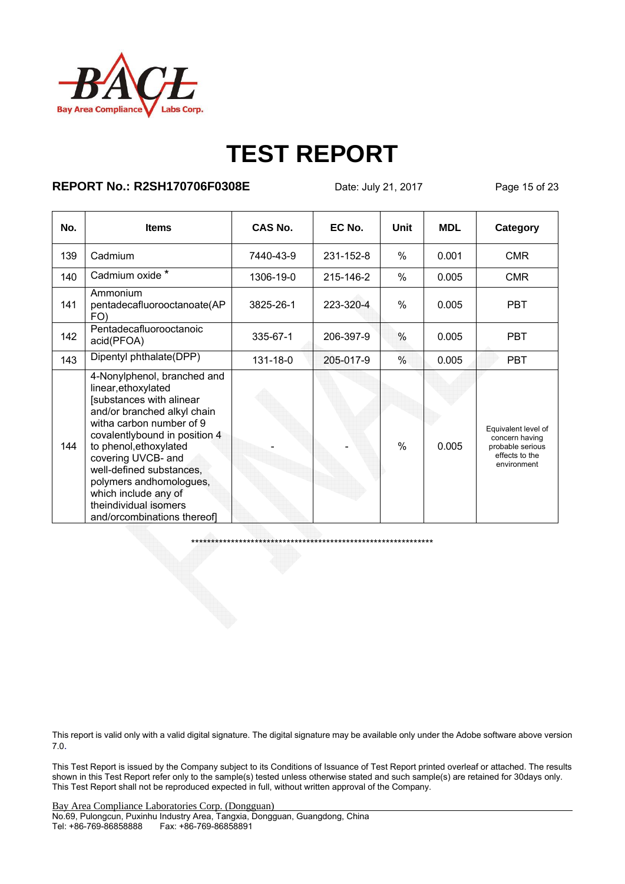

### **REPORT No.: R2SH170706F0308E** Date: July 21, 2017 Page 15 of 23

| No. | <b>Items</b>                                                                                                                                                                                                                                                                                                                                                      | CAS No.   | EC No.    | Unit          | <b>MDL</b> | Category                                                                                   |
|-----|-------------------------------------------------------------------------------------------------------------------------------------------------------------------------------------------------------------------------------------------------------------------------------------------------------------------------------------------------------------------|-----------|-----------|---------------|------------|--------------------------------------------------------------------------------------------|
| 139 | Cadmium                                                                                                                                                                                                                                                                                                                                                           | 7440-43-9 | 231-152-8 | $\%$          | 0.001      | <b>CMR</b>                                                                                 |
| 140 | Cadmium oxide *                                                                                                                                                                                                                                                                                                                                                   | 1306-19-0 | 215-146-2 | $\frac{0}{0}$ | 0.005      | <b>CMR</b>                                                                                 |
| 141 | Ammonium<br>pentadecafluorooctanoate(AP<br>FO)                                                                                                                                                                                                                                                                                                                    | 3825-26-1 | 223-320-4 | $\%$          | 0.005      | <b>PBT</b>                                                                                 |
| 142 | Pentadecafluorooctanoic<br>acid(PFOA)                                                                                                                                                                                                                                                                                                                             | 335-67-1  | 206-397-9 | $\%$          | 0.005      | <b>PBT</b>                                                                                 |
| 143 | Dipentyl phthalate(DPP)                                                                                                                                                                                                                                                                                                                                           | 131-18-0  | 205-017-9 | $\frac{0}{0}$ | 0.005      | <b>PBT</b>                                                                                 |
| 144 | 4-Nonylphenol, branched and<br>linear, ethoxylated<br>[substances with alinear<br>and/or branched alkyl chain<br>witha carbon number of 9<br>covalentlybound in position 4<br>to phenol, ethoxylated<br>covering UVCB- and<br>well-defined substances,<br>polymers andhomologues,<br>which include any of<br>theindividual isomers<br>and/orcombinations thereof] |           |           | $\frac{0}{0}$ | 0.005      | Equivalent level of<br>concern having<br>probable serious<br>effects to the<br>environment |

\*\*\*\*\*\*\*\*\*\*\*\*\*\*\*\*\*\*\*\*\*\*\*\*\*\*\*\*\*\*\*\*\*\*\*\*\*\*\*\*\*\*\*\*\*\*\*\*\*\*\*\*\*\*\*\*\*\*\*\*\*

This report is valid only with a valid digital signature. The digital signature may be available only under the Adobe software above version 7.0.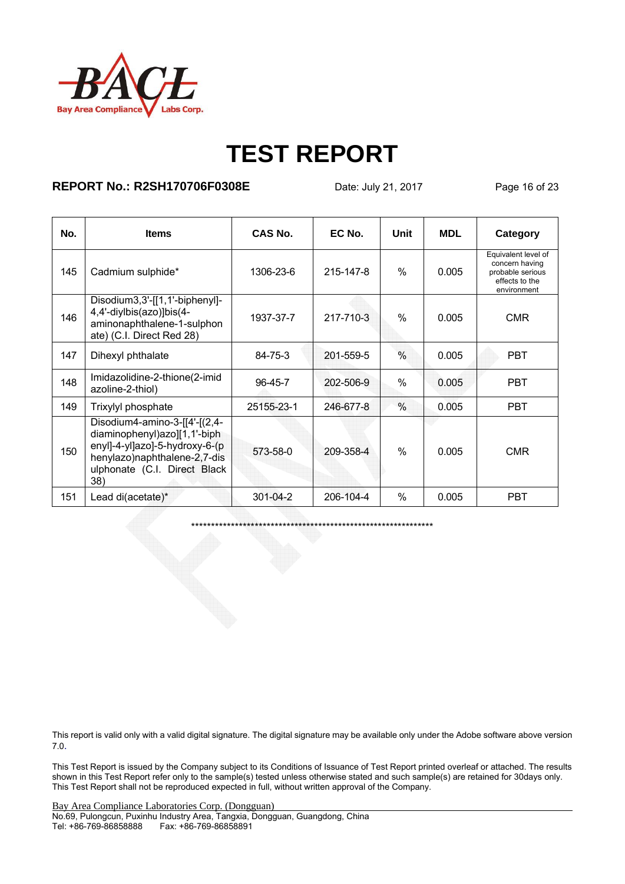

### **REPORT No.: R2SH170706F0308E** Date: July 21, 2017 Page 16 of 23

| No. | <b>Items</b>                                                                                                                                                           | CAS No.    | EC No.    | Unit          | <b>MDL</b> | Category                                                                                   |
|-----|------------------------------------------------------------------------------------------------------------------------------------------------------------------------|------------|-----------|---------------|------------|--------------------------------------------------------------------------------------------|
| 145 | Cadmium sulphide*                                                                                                                                                      | 1306-23-6  | 215-147-8 | $\frac{0}{0}$ | 0.005      | Equivalent level of<br>concern having<br>probable serious<br>effects to the<br>environment |
| 146 | Disodium3,3'-[[1,1'-biphenyl]-<br>4,4'-diylbis(azo)]bis(4-<br>aminonaphthalene-1-sulphon<br>ate) (C.I. Direct Red 28)                                                  | 1937-37-7  | 217-710-3 | $\frac{0}{0}$ | 0.005      | <b>CMR</b>                                                                                 |
| 147 | Dihexyl phthalate                                                                                                                                                      | 84-75-3    | 201-559-5 | $\frac{0}{0}$ | 0.005      | <b>PBT</b>                                                                                 |
| 148 | Imidazolidine-2-thione(2-imid<br>azoline-2-thiol)                                                                                                                      | 96-45-7    | 202-506-9 | $\frac{0}{0}$ | 0.005      | <b>PBT</b>                                                                                 |
| 149 | Trixylyl phosphate                                                                                                                                                     | 25155-23-1 | 246-677-8 | $\frac{0}{0}$ | 0.005      | <b>PBT</b>                                                                                 |
| 150 | Disodium4-amino-3-[[4'-[(2,4-<br>diaminophenyl)azo][1,1'-biph<br>enyl]-4-yl]azo]-5-hydroxy-6-(p<br>henylazo)naphthalene-2,7-dis<br>ulphonate (C.I. Direct Black<br>38) | 573-58-0   | 209-358-4 | $\%$          | 0.005      | <b>CMR</b>                                                                                 |
| 151 | Lead di(acetate)*                                                                                                                                                      | 301-04-2   | 206-104-4 | $\frac{0}{0}$ | 0.005      | <b>PBT</b>                                                                                 |

\*\*\*\*\*\*\*\*\*\*\*\*\*\*\*\*\*\*\*\*\*\*\*\*\*\*\*\*\*\*\*\*\*\*\*\*\*\*\*\*\*\*\*\*\*\*\*\*\*\*\*\*\*\*\*\*\*\*\*\*\*

This report is valid only with a valid digital signature. The digital signature may be available only under the Adobe software above version 7.0.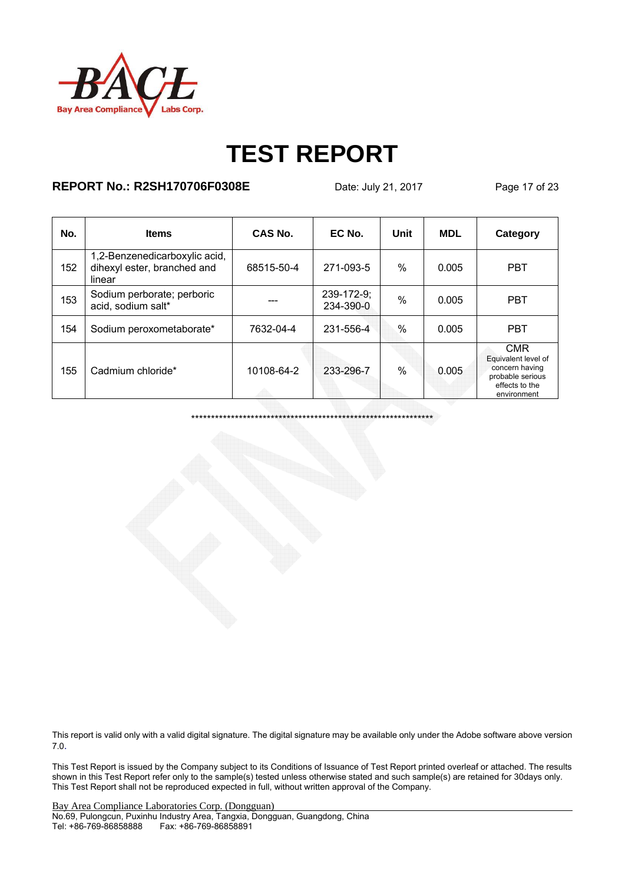

### **REPORT No.: R2SH170706F0308E** Date: July 21, 2017 Page 17 of 23

| No. | <b>Items</b>                                                           | CAS No.    | EC No.                  | Unit | <b>MDL</b> | Category                                                                                                 |
|-----|------------------------------------------------------------------------|------------|-------------------------|------|------------|----------------------------------------------------------------------------------------------------------|
| 152 | 1,2-Benzenedicarboxylic acid,<br>dihexyl ester, branched and<br>linear | 68515-50-4 | 271-093-5               | $\%$ | 0.005      | <b>PBT</b>                                                                                               |
| 153 | Sodium perborate; perboric<br>acid, sodium salt*                       |            | 239-172-9;<br>234-390-0 | $\%$ | 0.005      | <b>PBT</b>                                                                                               |
| 154 | Sodium peroxometaborate*                                               | 7632-04-4  | 231-556-4               | $\%$ | 0.005      | <b>PBT</b>                                                                                               |
| 155 | Cadmium chloride*                                                      | 10108-64-2 | 233-296-7               | $\%$ | 0.005      | <b>CMR</b><br>Equivalent level of<br>concern having<br>probable serious<br>effects to the<br>environment |

\*\*\*\*\*\*\*\*\*\*\*\*\*\*\*\*\*\*\*\*\*\*\*\*\*\*\*\*\*\*\*\*\*\*\*\*\*\*\*\*\*\*\*\*\*\*\*\*\*\*\*\*\*\*\*\*\*\*\*\*\*

This report is valid only with a valid digital signature. The digital signature may be available only under the Adobe software above version 7.0.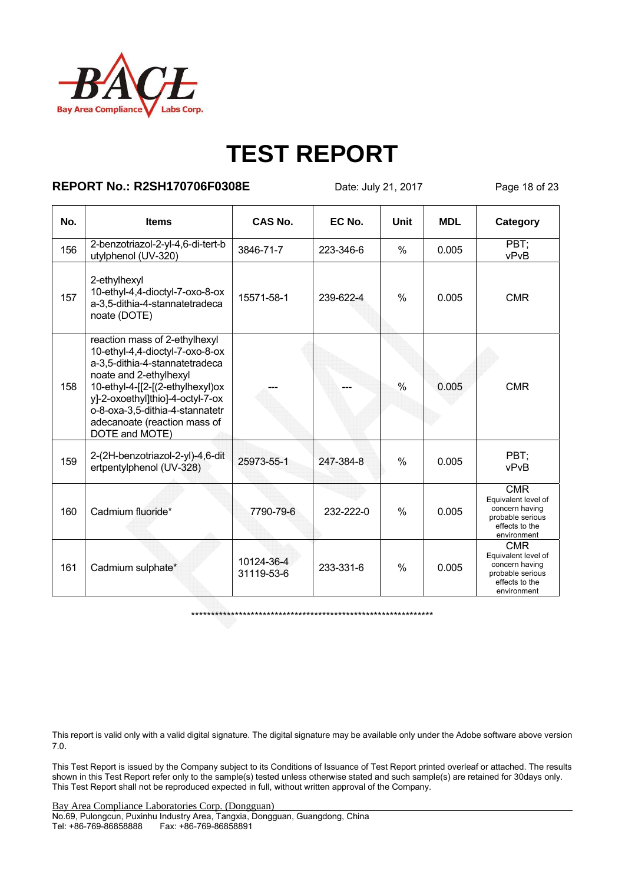

### **REPORT No.: R2SH170706F0308E** Date: July 21, 2017 Page 18 of 23

| No. | <b>Items</b>                                                                                                                                                                                                                                                                              | CAS No.                  | EC No.    | Unit          | <b>MDL</b> | Category                                                                                                 |
|-----|-------------------------------------------------------------------------------------------------------------------------------------------------------------------------------------------------------------------------------------------------------------------------------------------|--------------------------|-----------|---------------|------------|----------------------------------------------------------------------------------------------------------|
| 156 | 2-benzotriazol-2-yl-4,6-di-tert-b<br>utylphenol (UV-320)                                                                                                                                                                                                                                  | 3846-71-7                | 223-346-6 | $\%$          | 0.005      | PBT;<br>vPvB                                                                                             |
| 157 | 2-ethylhexyl<br>10-ethyl-4,4-dioctyl-7-oxo-8-ox<br>a-3,5-dithia-4-stannatetradeca<br>noate (DOTE)                                                                                                                                                                                         | 15571-58-1               | 239-622-4 | $\%$          | 0.005      | <b>CMR</b>                                                                                               |
| 158 | reaction mass of 2-ethylhexyl<br>10-ethyl-4,4-dioctyl-7-oxo-8-ox<br>a-3,5-dithia-4-stannatetradeca<br>noate and 2-ethylhexyl<br>10-ethyl-4-[[2-[(2-ethylhexyl)ox<br>y]-2-oxoethyl]thio]-4-octyl-7-ox<br>o-8-oxa-3,5-dithia-4-stannatetr<br>adecanoate (reaction mass of<br>DOTE and MOTE) |                          |           | $\frac{0}{0}$ | 0.005      | <b>CMR</b>                                                                                               |
| 159 | 2-(2H-benzotriazol-2-yl)-4,6-dit<br>ertpentylphenol (UV-328)                                                                                                                                                                                                                              | 25973-55-1               | 247-384-8 | $\%$          | 0.005      | PBT:<br>vPvB                                                                                             |
| 160 | Cadmium fluoride*                                                                                                                                                                                                                                                                         | 7790-79-6                | 232-222-0 | $\frac{0}{0}$ | 0.005      | <b>CMR</b><br>Equivalent level of<br>concern having<br>probable serious<br>effects to the<br>environment |
| 161 | Cadmium sulphate*                                                                                                                                                                                                                                                                         | 10124-36-4<br>31119-53-6 | 233-331-6 | $\frac{0}{0}$ | 0.005      | <b>CMR</b><br>Equivalent level of<br>concern having<br>probable serious<br>effects to the<br>environment |

\*\*\*\*\*\*\*\*\*\*\*\*\*\*\*\*\*\*\*\*\*\*\*\*\*\*\*\*\*\*\*\*\*\*\*\*\*\*\*\*\*\*\*\*\*\*\*\*\*\*\*\*\*\*\*\*\*\*\*\*\*

This report is valid only with a valid digital signature. The digital signature may be available only under the Adobe software above version 7.0.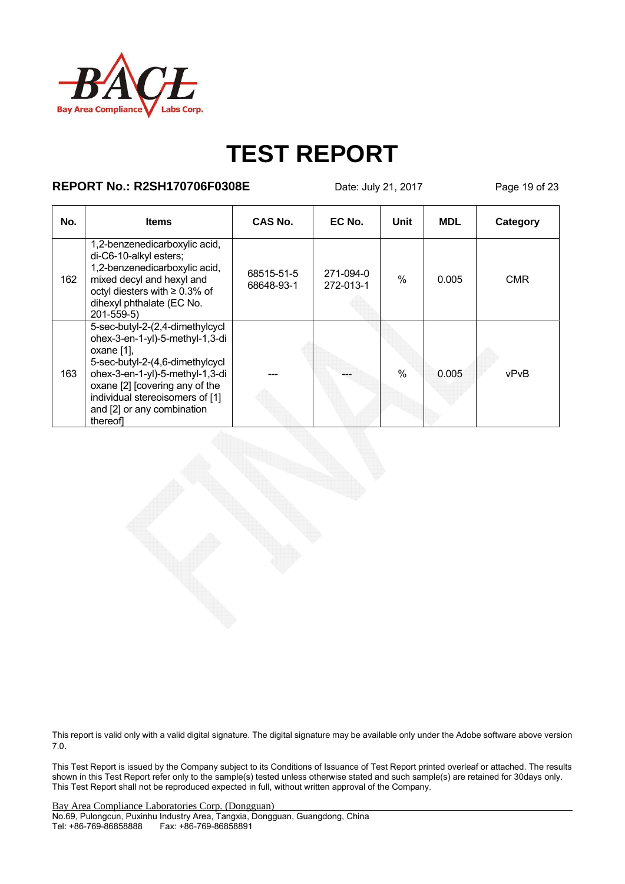

## **REPORT No.: R2SH170706F0308E** Date: July 21, 2017 Page 19 of 23

| No. | <b>Items</b>                                                                                                                                                                                                                                                         | CAS No.                  | EC No.                 | Unit          | <b>MDL</b> | Category   |
|-----|----------------------------------------------------------------------------------------------------------------------------------------------------------------------------------------------------------------------------------------------------------------------|--------------------------|------------------------|---------------|------------|------------|
| 162 | 1,2-benzenedicarboxylic acid,<br>di-C6-10-alkyl esters;<br>1,2-benzenedicarboxylic acid,<br>mixed decyl and hexyl and<br>octyl diesters with $\geq 0.3\%$ of<br>dihexyl phthalate (EC No.<br>$201 - 559 - 5$                                                         | 68515-51-5<br>68648-93-1 | 271-094-0<br>272-013-1 | $\frac{0}{0}$ | 0.005      | <b>CMR</b> |
| 163 | 5-sec-butyl-2-(2,4-dimethylcycl<br>ohex-3-en-1-yl)-5-methyl-1,3-di<br>oxane [1].<br>5-sec-butyl-2-(4,6-dimethylcycl<br>ohex-3-en-1-yl)-5-methyl-1,3-di<br>oxane [2] [covering any of the<br>individual stereoisomers of [1]<br>and [2] or any combination<br>thereof |                          |                        | $\%$          | 0.005      | vPvB       |

This report is valid only with a valid digital signature. The digital signature may be available only under the Adobe software above version 7.0.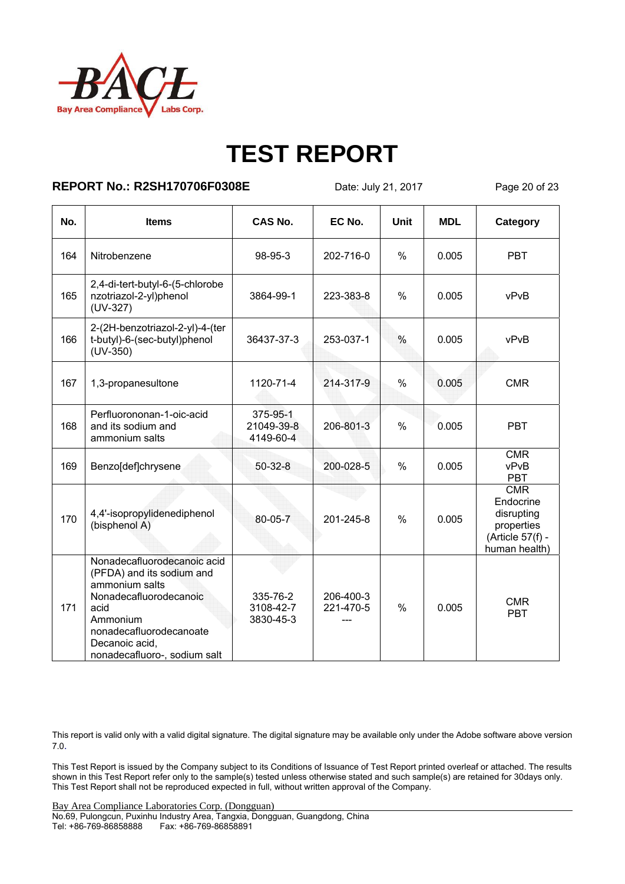

### **REPORT No.: R2SH170706F0308E** Date: July 21, 2017 Page 20 of 23

| No. | <b>Items</b>                                                                                                                                                                                          | CAS No.                             | EC No.                 | Unit          | <b>MDL</b> | Category                                                                                 |
|-----|-------------------------------------------------------------------------------------------------------------------------------------------------------------------------------------------------------|-------------------------------------|------------------------|---------------|------------|------------------------------------------------------------------------------------------|
| 164 | Nitrobenzene                                                                                                                                                                                          | 98-95-3                             | 202-716-0              | $\frac{0}{0}$ | 0.005      | <b>PBT</b>                                                                               |
| 165 | 2,4-di-tert-butyl-6-(5-chlorobe<br>nzotriazol-2-yl)phenol<br>$(UV-327)$                                                                                                                               | 3864-99-1                           | 223-383-8              | $\frac{0}{0}$ | 0.005      | vPvB                                                                                     |
| 166 | 2-(2H-benzotriazol-2-yl)-4-(ter<br>t-butyl)-6-(sec-butyl)phenol<br>$(UV-350)$                                                                                                                         | 36437-37-3                          | 253-037-1              | %             | 0.005      | vPvB                                                                                     |
| 167 | 1,3-propanesultone                                                                                                                                                                                    | 1120-71-4                           | 214-317-9              | $\%$          | 0.005      | <b>CMR</b>                                                                               |
| 168 | Perfluorononan-1-oic-acid<br>and its sodium and<br>ammonium salts                                                                                                                                     | 375-95-1<br>21049-39-8<br>4149-60-4 | 206-801-3              | $\%$          | 0.005      | <b>PBT</b>                                                                               |
| 169 | Benzo[def]chrysene                                                                                                                                                                                    | $50 - 32 - 8$                       | 200-028-5              | $\%$          | 0.005      | <b>CMR</b><br>vPvB<br><b>PBT</b>                                                         |
| 170 | 4,4'-isopropylidenediphenol<br>(bisphenol A)                                                                                                                                                          | 80-05-7                             | 201-245-8              | $\frac{0}{0}$ | 0.005      | <b>CMR</b><br>Endocrine<br>disrupting<br>properties<br>(Article 57(f) -<br>human health) |
| 171 | Nonadecafluorodecanoic acid<br>(PFDA) and its sodium and<br>ammonium salts<br>Nonadecafluorodecanoic<br>acid<br>Ammonium<br>nonadecafluorodecanoate<br>Decanoic acid.<br>nonadecafluoro-, sodium salt | 335-76-2<br>3108-42-7<br>3830-45-3  | 206-400-3<br>221-470-5 | $\frac{0}{0}$ | 0.005      | <b>CMR</b><br><b>PBT</b>                                                                 |

This report is valid only with a valid digital signature. The digital signature may be available only under the Adobe software above version 7.0.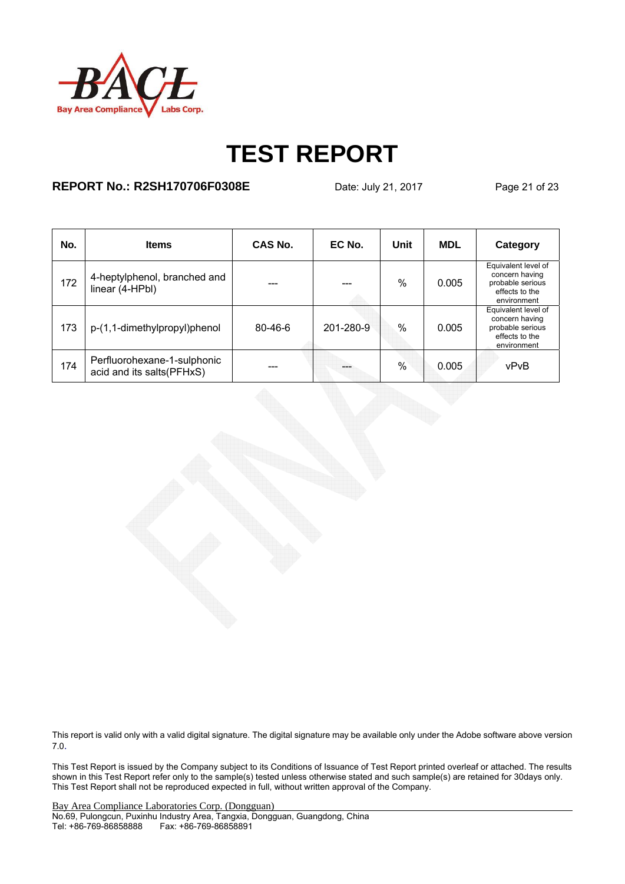

### **REPORT No.: R2SH170706F0308E** Date: July 21, 2017 Page 21 of 23

| No. | <b>Items</b>                                             | CAS No.       | EC No.    | Unit          | <b>MDL</b> | Category                                                                                   |
|-----|----------------------------------------------------------|---------------|-----------|---------------|------------|--------------------------------------------------------------------------------------------|
| 172 | 4-heptylphenol, branched and<br>linear (4-HPbl)          | ---           |           | $\%$          | 0.005      | Equivalent level of<br>concern having<br>probable serious<br>effects to the<br>environment |
| 173 | p-(1,1-dimethylpropyl)phenol                             | $80 - 46 - 6$ | 201-280-9 | $\frac{0}{0}$ | 0.005      | Equivalent level of<br>concern having<br>probable serious<br>effects to the<br>environment |
| 174 | Perfluorohexane-1-sulphonic<br>acid and its salts(PFHxS) | ---           |           | $\%$          | 0.005      | vPvB                                                                                       |

This report is valid only with a valid digital signature. The digital signature may be available only under the Adobe software above version 7.0.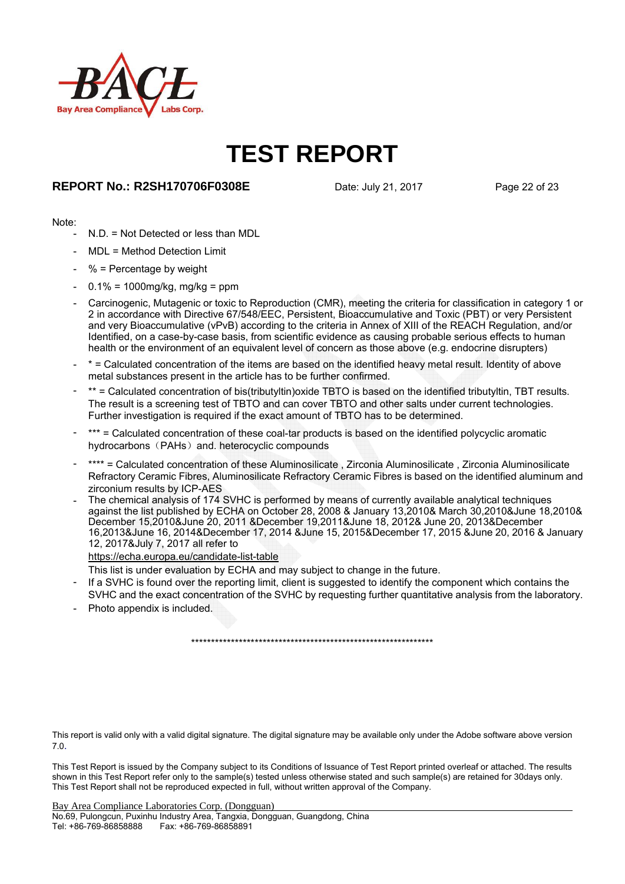

### **REPORT No.: R2SH170706F0308E** Date: July 21, 2017 Page 22 of 23

#### Note:

- N.D. = Not Detected or less than MDL
- MDL = Method Detection Limit
- $%$  = Percentage by weight
- $0.1\% = 1000$ mg/kg, mg/kg = ppm
- Carcinogenic, Mutagenic or toxic to Reproduction (CMR), meeting the criteria for classification in category 1 or 2 in accordance with Directive 67/548/EEC, Persistent, Bioaccumulative and Toxic (PBT) or very Persistent and very Bioaccumulative (vPvB) according to the criteria in Annex of XIII of the REACH Regulation, and/or Identified, on a case-by-case basis, from scientific evidence as causing probable serious effects to human health or the environment of an equivalent level of concern as those above (e.g. endocrine disrupters)
- \* = Calculated concentration of the items are based on the identified heavy metal result. Identity of above metal substances present in the article has to be further confirmed.
- \*\* = Calculated concentration of bis(tributyltin)oxide TBTO is based on the identified tributyltin, TBT results. The result is a screening test of TBTO and can cover TBTO and other salts under current technologies. Further investigation is required if the exact amount of TBTO has to be determined.
- \*\*\* = Calculated concentration of these coal-tar products is based on the identified polycyclic aromatic hydrocarbons (PAHs) and. heterocyclic compounds
- \*\*\*\* = Calculated concentration of these Aluminosilicate, Zirconia Aluminosilicate , Zirconia Aluminosilicate Refractory Ceramic Fibres, Aluminosilicate Refractory Ceramic Fibres is based on the identified aluminum and zirconium results by ICP-AES
- The chemical analysis of 174 SVHC is performed by means of currently available analytical techniques against the list published by ECHA on October 28, 2008 & January 13,2010& March 30,2010&June 18,2010& December 15,2010&June 20, 2011 &December 19,2011&June 18, 2012& June 20, 2013&December 16,2013&June 16, 2014&December 17, 2014 &June 15, 2015&December 17, 2015 &June 20, 2016 & January 12, 2017&July 7, 2017 all refer to

https://echa.europa.eu/candidate-list-table

- This list is under evaluation by ECHA and may subject to change in the future.
- If a SVHC is found over the reporting limit, client is suggested to identify the component which contains the SVHC and the exact concentration of the SVHC by requesting further quantitative analysis from the laboratory.
- Photo appendix is included.

\*\*\*\*\*\*\*\*\*\*\*\*\*\*\*\*\*\*\*\*\*\*\*\*\*\*\*\*\*\*\*\*\*\*\*\*\*\*\*\*\*\*\*\*\*\*\*\*\*\*\*\*\*\*\*\*\*\*\*\*\*

This report is valid only with a valid digital signature. The digital signature may be available only under the Adobe software above version 7.0.